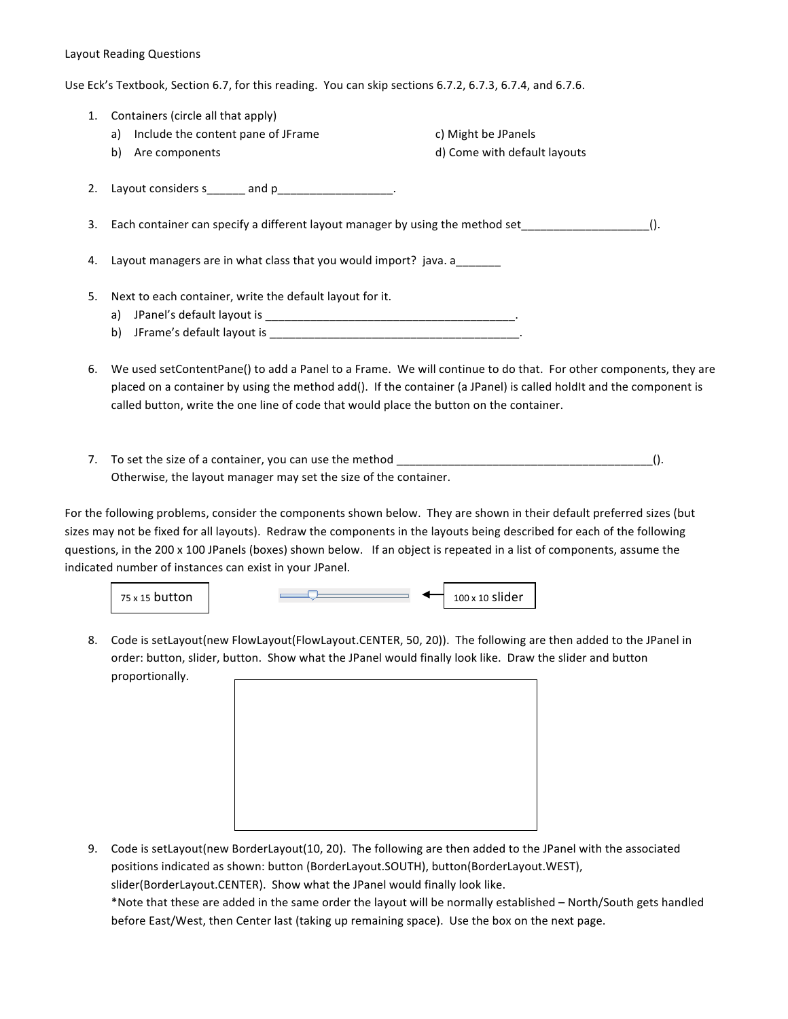## Layout Reading Questions

Use Eck's Textbook, Section 6.7, for this reading. You can skip sections 6.7.2, 6.7.3, 6.7.4, and 6.7.6.

| 1. | Containers (circle all that apply)                                                                                 |                                                                                                                 |  |
|----|--------------------------------------------------------------------------------------------------------------------|-----------------------------------------------------------------------------------------------------------------|--|
|    | a) Include the content pane of JFrame                                                                              | c) Might be JPanels                                                                                             |  |
|    | Are components<br>b)                                                                                               | d) Come with default layouts                                                                                    |  |
|    | 2. Layout considers s_______ and p___________________.                                                             |                                                                                                                 |  |
|    | 3. Each container can specify a different layout manager by using the method set<br>$()$ .                         |                                                                                                                 |  |
|    | 4. Layout managers are in what class that you would import? java. a                                                |                                                                                                                 |  |
| 5. | Next to each container, write the default layout for it.                                                           |                                                                                                                 |  |
|    |                                                                                                                    |                                                                                                                 |  |
|    | b)                                                                                                                 |                                                                                                                 |  |
| 6. | placed on a container by using the method add(). If the container (a JPanel) is called holdIt and the component is | We used setContentPane() to add a Panel to a Frame. We will continue to do that. For other components, they are |  |

7. To set the size of a container, you can use the method \_\_\_\_\_\_\_\_\_\_\_\_\_\_\_\_\_\_\_\_\_\_\_\_\_\_\_\_\_\_\_\_\_\_\_\_\_\_\_\_(). Otherwise, the layout manager may set the size of the container.

called button, write the one line of code that would place the button on the container.

For the following problems, consider the components shown below. They are shown in their default preferred sizes (but sizes may not be fixed for all layouts). Redraw the components in the layouts being described for each of the following questions, in the 200 x 100 JPanels (boxes) shown below. If an object is repeated in a list of components, assume the indicated number of instances can exist in your JPanel.





8. Code is setLayout(new FlowLayout(FlowLayout.CENTER, 50, 20)). The following are then added to the JPanel in order: button, slider, button. Show what the JPanel would finally look like. Draw the slider and button proportionally.



9. Code is setLayout(new BorderLayout(10, 20). The following are then added to the JPanel with the associated positions indicated as shown: button (BorderLayout.SOUTH), button(BorderLayout.WEST), slider(BorderLayout.CENTER). Show what the JPanel would finally look like.

\*Note that these are added in the same order the layout will be normally established - North/South gets handled before East/West, then Center last (taking up remaining space). Use the box on the next page.